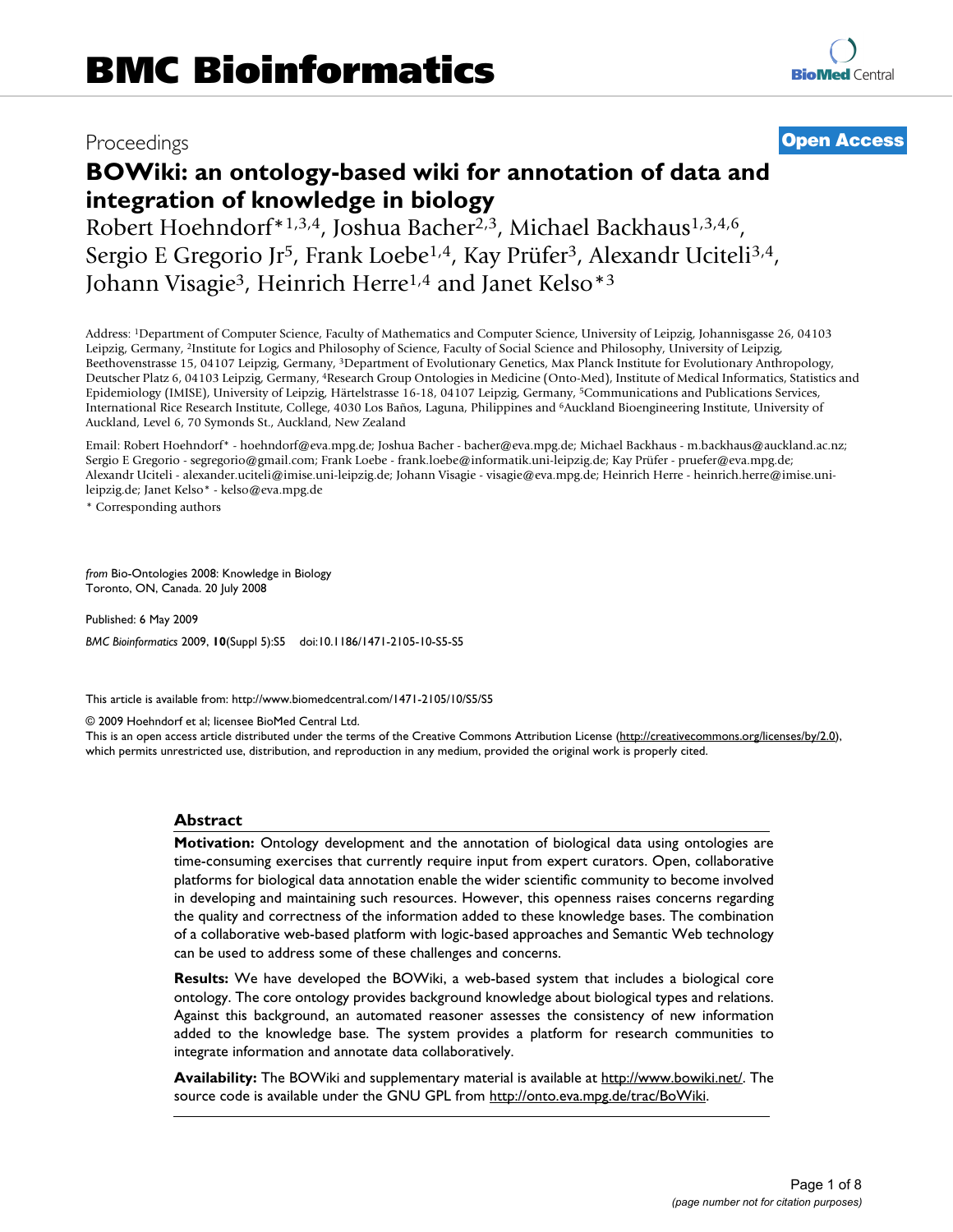## Proceedings **[Open Access](http://www.biomedcentral.com/info/about/charter/)**

# **BOWiki: an ontology-based wiki for annotation of data and integration of knowledge in biology**

Robert Hoehndorf\*1,3,4, Joshua Bacher<sup>2,3</sup>, Michael Backhaus<sup>1,3,4,6</sup>, Sergio E Gregorio Jr<sup>5</sup>, Frank Loebe<sup>1,4</sup>, Kay Prüfer<sup>3</sup>, Alexandr Uciteli<sup>3,4</sup>, Johann Visagie<sup>3</sup>, Heinrich Herre<sup>1,4</sup> and Janet Kelso<sup>\*3</sup>

Address: 1Department of Computer Science, Faculty of Mathematics and Computer Science, University of Leipzig, Johannisgasse 26, 04103 Leipzig, Germany, 2Institute for Logics and Philosophy of Science, Faculty of Social Science and Philosophy, University of Leipzig, Beethovenstrasse 15, 04107 Leipzig, Germany, 3Department of Evolutionary Genetics, Max Planck Institute for Evolutionary Anthropology, Deutscher Platz 6, 04103 Leipzig, Germany, 4Research Group Ontologies in Medicine (Onto-Med), Institute of Medical Informatics, Statistics and Epidemiology (IMISE), University of Leipzig, Härtelstrasse 16-18, 04107 Leipzig, Germany, 5Communications and Publications Services, International Rice Research Institute, College, 4030 Los Baños, Laguna, Philippines and 6Auckland Bioengineering Institute, University of Auckland, Level 6, 70 Symonds St., Auckland, New Zealand

Email: Robert Hoehndorf\* - hoehndorf@eva.mpg.de; Joshua Bacher - bacher@eva.mpg.de; Michael Backhaus - m.backhaus@auckland.ac.nz; Sergio E Gregorio - segregorio@gmail.com; Frank Loebe - frank.loebe@informatik.uni-leipzig.de; Kay Prüfer - pruefer@eva.mpg.de; Alexandr Uciteli - alexander.uciteli@imise.uni-leipzig.de; Johann Visagie - visagie@eva.mpg.de; Heinrich Herre - heinrich.herre@imise.unileipzig.de; Janet Kelso\* - kelso@eva.mpg.de

\* Corresponding authors

*from* Bio-Ontologies 2008: Knowledge in Biology Toronto, ON, Canada. 20 July 2008

Published: 6 May 2009 *BMC Bioinformatics* 2009, **10**(Suppl 5):S5 doi:10.1186/1471-2105-10-S5-S5

[This article is available from: http://www.biomedcentral.com/1471-2105/10/S5/S5](http://www.biomedcentral.com/1471-2105/10/S5/S5)

© 2009 Hoehndorf et al; licensee BioMed Central Ltd.

This is an open access article distributed under the terms of the Creative Commons Attribution License [\(http://creativecommons.org/licenses/by/2.0\)](http://creativecommons.org/licenses/by/2.0), which permits unrestricted use, distribution, and reproduction in any medium, provided the original work is properly cited.

#### **Abstract**

**Motivation:** Ontology development and the annotation of biological data using ontologies are time-consuming exercises that currently require input from expert curators. Open, collaborative platforms for biological data annotation enable the wider scientific community to become involved in developing and maintaining such resources. However, this openness raises concerns regarding the quality and correctness of the information added to these knowledge bases. The combination of a collaborative web-based platform with logic-based approaches and Semantic Web technology can be used to address some of these challenges and concerns.

**Results:** We have developed the BOWiki, a web-based system that includes a biological core ontology. The core ontology provides background knowledge about biological types and relations. Against this background, an automated reasoner assesses the consistency of new information added to the knowledge base. The system provides a platform for research communities to integrate information and annotate data collaboratively.

**Availability:** The BOWiki and supplementary material is available at<http://www.bowiki.net/>. The source code is available under the GNU GPL from [http://onto.eva.mpg.de/trac/BoWiki.](http://onto.eva.mpg.de/trac/BoWiki)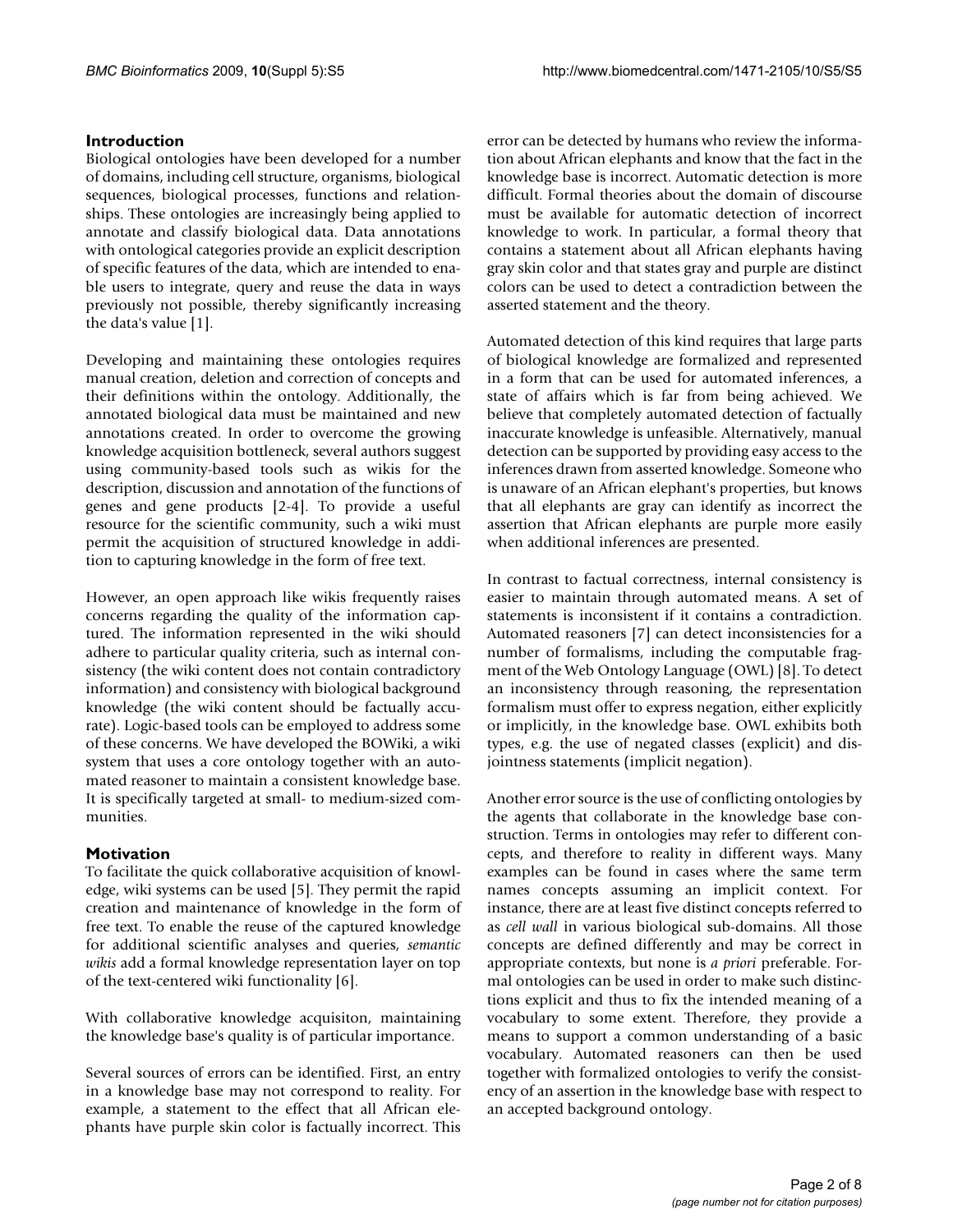#### **Introduction**

Biological ontologies have been developed for a number of domains, including cell structure, organisms, biological sequences, biological processes, functions and relationships. These ontologies are increasingly being applied to annotate and classify biological data. Data annotations with ontological categories provide an explicit description of specific features of the data, which are intended to enable users to integrate, query and reuse the data in ways previously not possible, thereby significantly increasing the data's value [1].

Developing and maintaining these ontologies requires manual creation, deletion and correction of concepts and their definitions within the ontology. Additionally, the annotated biological data must be maintained and new annotations created. In order to overcome the growing knowledge acquisition bottleneck, several authors suggest using community-based tools such as wikis for the description, discussion and annotation of the functions of genes and gene products [2-4]. To provide a useful resource for the scientific community, such a wiki must permit the acquisition of structured knowledge in addition to capturing knowledge in the form of free text.

However, an open approach like wikis frequently raises concerns regarding the quality of the information captured. The information represented in the wiki should adhere to particular quality criteria, such as internal consistency (the wiki content does not contain contradictory information) and consistency with biological background knowledge (the wiki content should be factually accurate). Logic-based tools can be employed to address some of these concerns. We have developed the BOWiki, a wiki system that uses a core ontology together with an automated reasoner to maintain a consistent knowledge base. It is specifically targeted at small- to medium-sized communities.

#### **Motivation**

To facilitate the quick collaborative acquisition of knowledge, wiki systems can be used [5]. They permit the rapid creation and maintenance of knowledge in the form of free text. To enable the reuse of the captured knowledge for additional scientific analyses and queries, *semantic wikis* add a formal knowledge representation layer on top of the text-centered wiki functionality [6].

With collaborative knowledge acquisiton, maintaining the knowledge base's quality is of particular importance.

Several sources of errors can be identified. First, an entry in a knowledge base may not correspond to reality. For example, a statement to the effect that all African elephants have purple skin color is factually incorrect. This error can be detected by humans who review the information about African elephants and know that the fact in the knowledge base is incorrect. Automatic detection is more difficult. Formal theories about the domain of discourse must be available for automatic detection of incorrect knowledge to work. In particular, a formal theory that contains a statement about all African elephants having gray skin color and that states gray and purple are distinct colors can be used to detect a contradiction between the asserted statement and the theory.

Automated detection of this kind requires that large parts of biological knowledge are formalized and represented in a form that can be used for automated inferences, a state of affairs which is far from being achieved. We believe that completely automated detection of factually inaccurate knowledge is unfeasible. Alternatively, manual detection can be supported by providing easy access to the inferences drawn from asserted knowledge. Someone who is unaware of an African elephant's properties, but knows that all elephants are gray can identify as incorrect the assertion that African elephants are purple more easily when additional inferences are presented.

In contrast to factual correctness, internal consistency is easier to maintain through automated means. A set of statements is inconsistent if it contains a contradiction. Automated reasoners [7] can detect inconsistencies for a number of formalisms, including the computable fragment of the Web Ontology Language (OWL) [8]. To detect an inconsistency through reasoning, the representation formalism must offer to express negation, either explicitly or implicitly, in the knowledge base. OWL exhibits both types, e.g. the use of negated classes (explicit) and disjointness statements (implicit negation).

Another error source is the use of conflicting ontologies by the agents that collaborate in the knowledge base construction. Terms in ontologies may refer to different concepts, and therefore to reality in different ways. Many examples can be found in cases where the same term names concepts assuming an implicit context. For instance, there are at least five distinct concepts referred to as *cell wall* in various biological sub-domains. All those concepts are defined differently and may be correct in appropriate contexts, but none is *a priori* preferable. Formal ontologies can be used in order to make such distinctions explicit and thus to fix the intended meaning of a vocabulary to some extent. Therefore, they provide a means to support a common understanding of a basic vocabulary. Automated reasoners can then be used together with formalized ontologies to verify the consistency of an assertion in the knowledge base with respect to an accepted background ontology.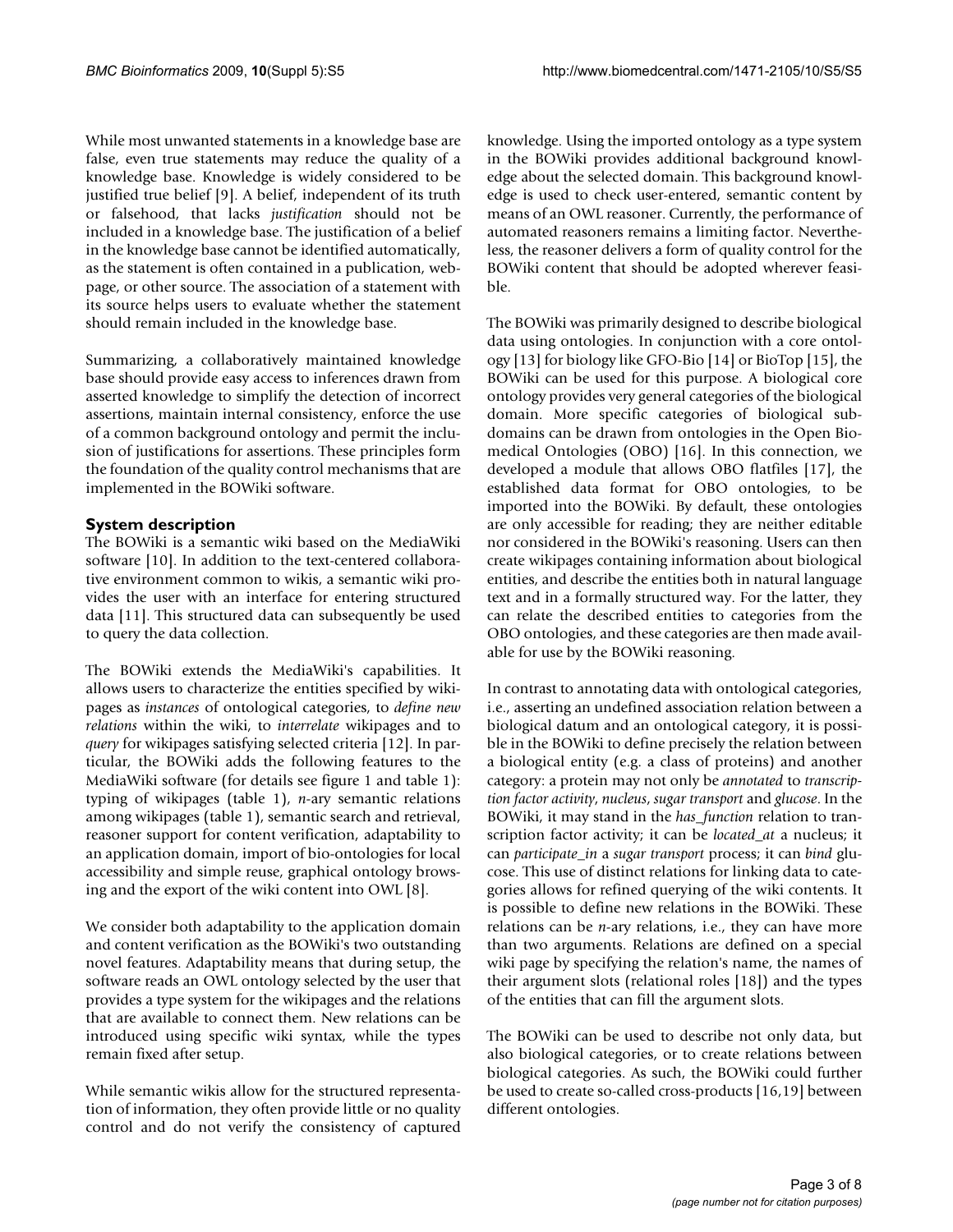While most unwanted statements in a knowledge base are false, even true statements may reduce the quality of a knowledge base. Knowledge is widely considered to be justified true belief [9]. A belief, independent of its truth or falsehood, that lacks *justification* should not be included in a knowledge base. The justification of a belief in the knowledge base cannot be identified automatically, as the statement is often contained in a publication, webpage, or other source. The association of a statement with its source helps users to evaluate whether the statement should remain included in the knowledge base.

Summarizing, a collaboratively maintained knowledge base should provide easy access to inferences drawn from asserted knowledge to simplify the detection of incorrect assertions, maintain internal consistency, enforce the use of a common background ontology and permit the inclusion of justifications for assertions. These principles form the foundation of the quality control mechanisms that are implemented in the BOWiki software.

#### **System description**

The BOWiki is a semantic wiki based on the MediaWiki software [10]. In addition to the text-centered collaborative environment common to wikis, a semantic wiki provides the user with an interface for entering structured data [11]. This structured data can subsequently be used to query the data collection.

The BOWiki extends the MediaWiki's capabilities. It allows users to characterize the entities specified by wikipages as *instances* of ontological categories, to *define new relations* within the wiki, to *interrelate* wikipages and to *query* for wikipages satisfying selected criteria [12]. In particular, the BOWiki adds the following features to the MediaWiki software (for details see figure 1 and table 1): typing of wikipages (table 1), *n*-ary semantic relations among wikipages (table 1), semantic search and retrieval, reasoner support for content verification, adaptability to an application domain, import of bio-ontologies for local accessibility and simple reuse, graphical ontology browsing and the export of the wiki content into OWL [8].

We consider both adaptability to the application domain and content verification as the BOWiki's two outstanding novel features. Adaptability means that during setup, the software reads an OWL ontology selected by the user that provides a type system for the wikipages and the relations that are available to connect them. New relations can be introduced using specific wiki syntax, while the types remain fixed after setup.

While semantic wikis allow for the structured representation of information, they often provide little or no quality control and do not verify the consistency of captured

knowledge. Using the imported ontology as a type system in the BOWiki provides additional background knowledge about the selected domain. This background knowledge is used to check user-entered, semantic content by means of an OWL reasoner. Currently, the performance of automated reasoners remains a limiting factor. Nevertheless, the reasoner delivers a form of quality control for the BOWiki content that should be adopted wherever feasible.

The BOWiki was primarily designed to describe biological data using ontologies. In conjunction with a core ontology [13] for biology like GFO-Bio [14] or BioTop [15], the BOWiki can be used for this purpose. A biological core ontology provides very general categories of the biological domain. More specific categories of biological subdomains can be drawn from ontologies in the Open Biomedical Ontologies (OBO) [16]. In this connection, we developed a module that allows OBO flatfiles [17], the established data format for OBO ontologies, to be imported into the BOWiki. By default, these ontologies are only accessible for reading; they are neither editable nor considered in the BOWiki's reasoning. Users can then create wikipages containing information about biological entities, and describe the entities both in natural language text and in a formally structured way. For the latter, they can relate the described entities to categories from the OBO ontologies, and these categories are then made available for use by the BOWiki reasoning.

In contrast to annotating data with ontological categories, i.e., asserting an undefined association relation between a biological datum and an ontological category, it is possible in the BOWiki to define precisely the relation between a biological entity (e.g. a class of proteins) and another category: a protein may not only be *annotated* to *transcription factor activity*, *nucleus*, *sugar transport* and *glucose*. In the BOWiki, it may stand in the *has\_function* relation to transcription factor activity; it can be *located\_at* a nucleus; it can *participate\_in* a *sugar transport* process; it can *bind* glucose. This use of distinct relations for linking data to categories allows for refined querying of the wiki contents. It is possible to define new relations in the BOWiki. These relations can be *n*-ary relations, i.e., they can have more than two arguments. Relations are defined on a special wiki page by specifying the relation's name, the names of their argument slots (relational roles [18]) and the types of the entities that can fill the argument slots.

The BOWiki can be used to describe not only data, but also biological categories, or to create relations between biological categories. As such, the BOWiki could further be used to create so-called cross-products [16,19] between different ontologies.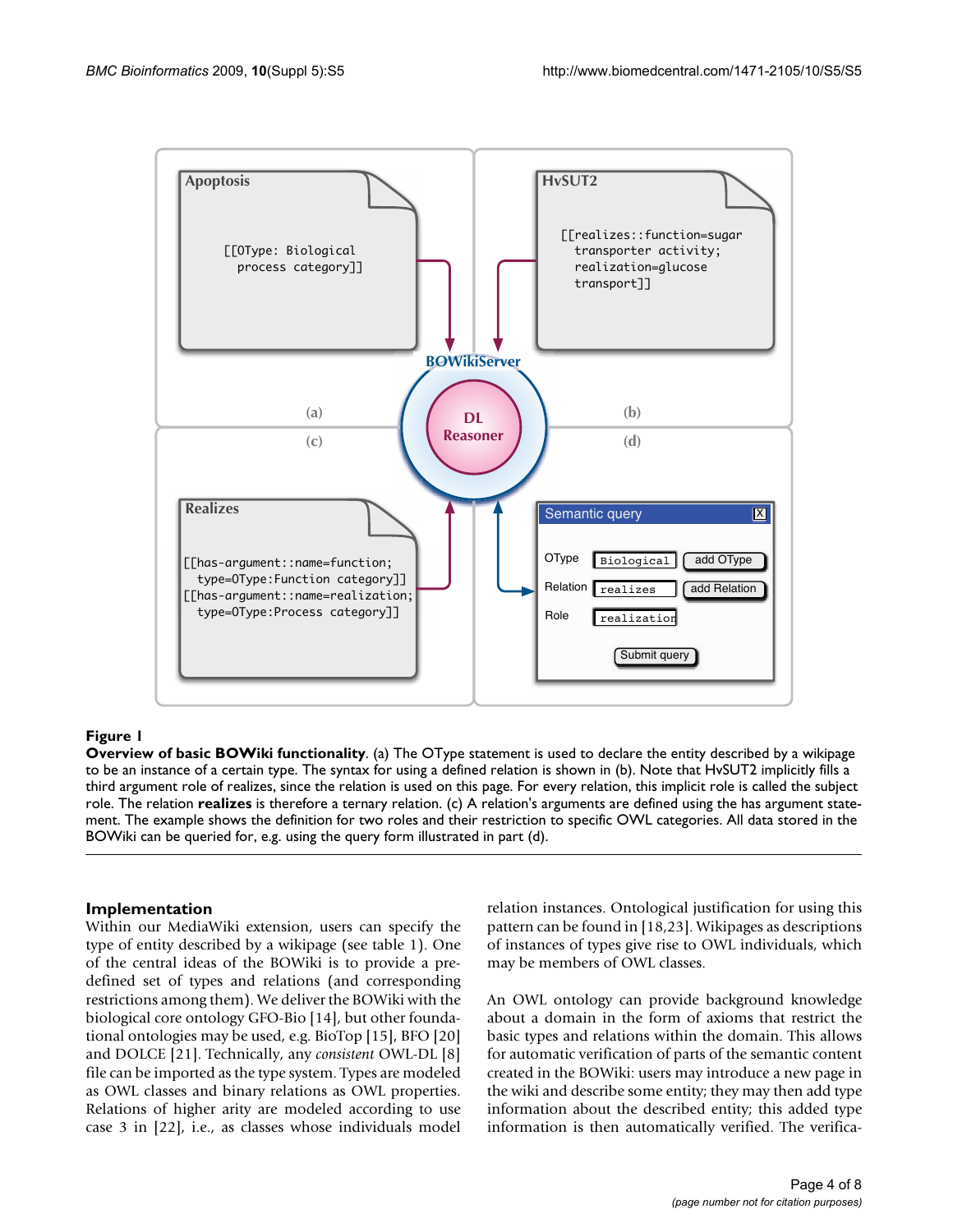

#### **Figure 1**

**Overview of basic BOWiki functionality**. (a) The OType statement is used to declare the entity described by a wikipage to be an instance of a certain type. The syntax for using a defined relation is shown in (b). Note that HvSUT2 implicitly fills a third argument role of realizes, since the relation is used on this page. For every relation, this implicit role is called the subject role. The relation **realizes** is therefore a ternary relation. (c) A relation's arguments are defined using the has argument statement. The example shows the definition for two roles and their restriction to specific OWL categories. All data stored in the BOWiki can be queried for, e.g. using the query form illustrated in part (d).

### **Implementation**

Within our MediaWiki extension, users can specify the type of entity described by a wikipage (see table 1). One of the central ideas of the BOWiki is to provide a predefined set of types and relations (and corresponding restrictions among them). We deliver the BOWiki with the biological core ontology GFO-Bio [14], but other foundational ontologies may be used, e.g. BioTop [15], BFO [20] and DOLCE [21]. Technically, any *consistent* OWL-DL [8] file can be imported as the type system. Types are modeled as OWL classes and binary relations as OWL properties. Relations of higher arity are modeled according to use case 3 in [22], i.e., as classes whose individuals model relation instances. Ontological justification for using this pattern can be found in [18,23]. Wikipages as descriptions of instances of types give rise to OWL individuals, which may be members of OWL classes.

An OWL ontology can provide background knowledge about a domain in the form of axioms that restrict the basic types and relations within the domain. This allows for automatic verification of parts of the semantic content created in the BOWiki: users may introduce a new page in the wiki and describe some entity; they may then add type information about the described entity; this added type information is then automatically verified. The verifica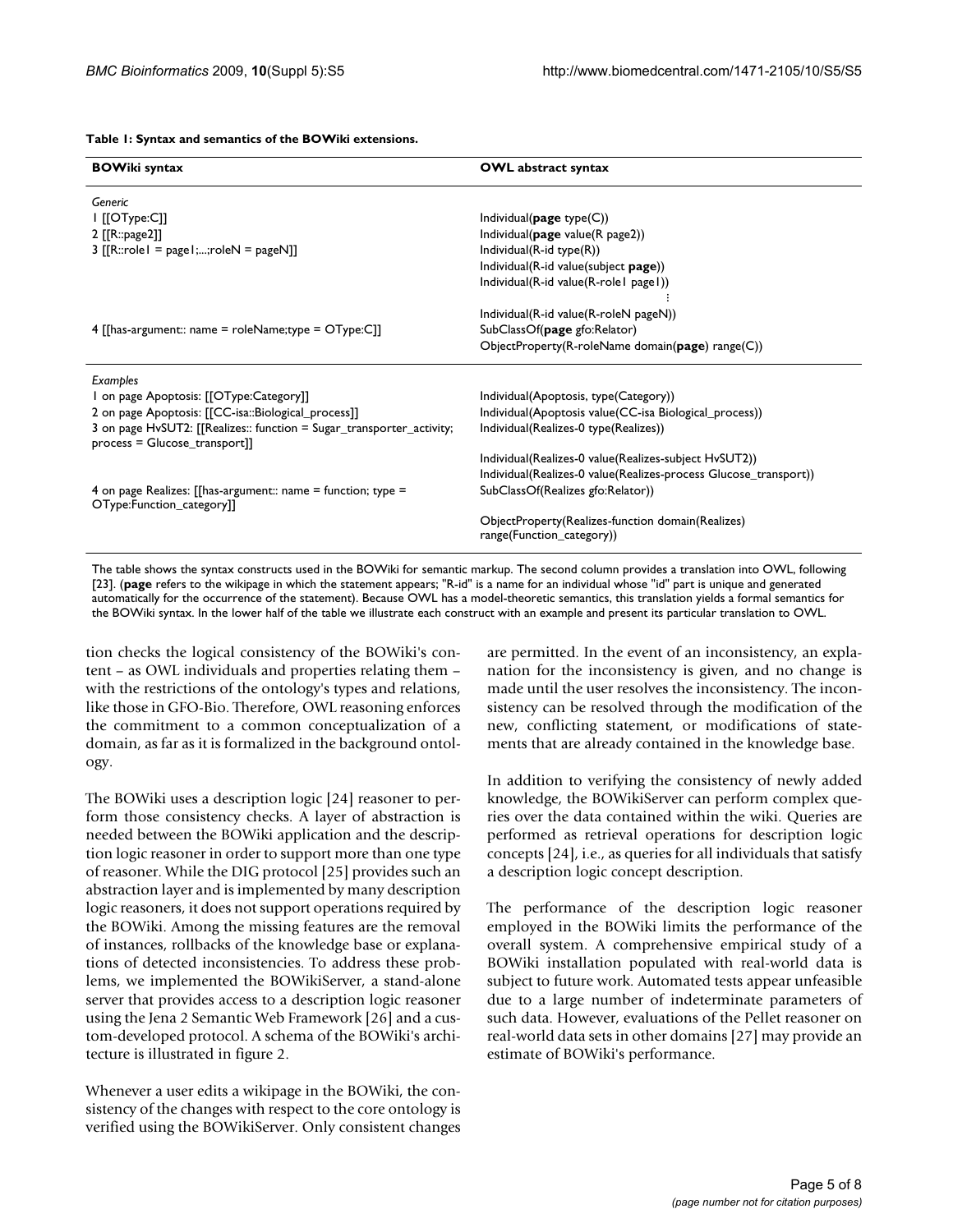**Table 1: Syntax and semantics of the BOWiki extensions.** 

| <b>BOWiki syntax</b>                                                                                    | <b>OWL</b> abstract syntax                                                     |
|---------------------------------------------------------------------------------------------------------|--------------------------------------------------------------------------------|
| Generic                                                                                                 |                                                                                |
| I [[OType:C]]                                                                                           | Individual( <b>page type(C)</b> )                                              |
| $2$ [[ $R::page2$ ]]                                                                                    | Individual( $page$ value( $R$ page2))                                          |
| $3$ [[R::role1 = page1;;roleN = pageN]]                                                                 | Individual(R-id type(R))                                                       |
|                                                                                                         | Individual(R-id value(subject page))                                           |
|                                                                                                         | Individual(R-id value(R-role1 page1))                                          |
|                                                                                                         |                                                                                |
|                                                                                                         | Individual(R-id value(R-roleN pageN))                                          |
| 4 [[has-argument:: name = roleName;type = $OType:C$ ]]                                                  | SubClassOf(page gfo:Relator)                                                   |
|                                                                                                         | ObjectProperty(R-roleName domain(page) range(C))                               |
| Examples                                                                                                |                                                                                |
| I on page Apoptosis: [[OType:Category]]                                                                 | Individual(Apoptosis, type(Category))                                          |
| 2 on page Apoptosis: [[CC-isa::Biological_process]]                                                     | Individual(Apoptosis value(CC-isa Biological_process))                         |
| 3 on page HvSUT2: [[Realizes:: function = Sugar_transporter_activity;<br>$process = Glucose_transform]$ | Individual(Realizes-0 type(Realizes))                                          |
|                                                                                                         | Individual(Realizes-0 value(Realizes-subject HvSUT2))                          |
|                                                                                                         | Individual(Realizes-0 value(Realizes-process Glucose_transport))               |
| 4 on page Realizes: [[has-argument:: name = function; type =<br>OType:Function_category]]               | SubClassOf(Realizes gfo:Relator))                                              |
|                                                                                                         | ObjectProperty(Realizes-function domain(Realizes)<br>range(Function_category)) |

The table shows the syntax constructs used in the BOWiki for semantic markup. The second column provides a translation into OWL, following [23]. (**page** refers to the wikipage in which the statement appears; "R-id" is a name for an individual whose "id" part is unique and generated automatically for the occurrence of the statement). Because OWL has a model-theoretic semantics, this translation yields a formal semantics for the BOWiki syntax. In the lower half of the table we illustrate each construct with an example and present its particular translation to OWL.

tion checks the logical consistency of the BOWiki's content – as OWL individuals and properties relating them – with the restrictions of the ontology's types and relations, like those in GFO-Bio. Therefore, OWL reasoning enforces the commitment to a common conceptualization of a domain, as far as it is formalized in the background ontology.

The BOWiki uses a description logic [24] reasoner to perform those consistency checks. A layer of abstraction is needed between the BOWiki application and the description logic reasoner in order to support more than one type of reasoner. While the DIG protocol [25] provides such an abstraction layer and is implemented by many description logic reasoners, it does not support operations required by the BOWiki. Among the missing features are the removal of instances, rollbacks of the knowledge base or explanations of detected inconsistencies. To address these problems, we implemented the BOWikiServer, a stand-alone server that provides access to a description logic reasoner using the Jena 2 Semantic Web Framework [26] and a custom-developed protocol. A schema of the BOWiki's architecture is illustrated in figure 2.

Whenever a user edits a wikipage in the BOWiki, the consistency of the changes with respect to the core ontology is verified using the BOWikiServer. Only consistent changes

are permitted. In the event of an inconsistency, an explanation for the inconsistency is given, and no change is made until the user resolves the inconsistency. The inconsistency can be resolved through the modification of the new, conflicting statement, or modifications of statements that are already contained in the knowledge base.

In addition to verifying the consistency of newly added knowledge, the BOWikiServer can perform complex queries over the data contained within the wiki. Queries are performed as retrieval operations for description logic concepts [24], i.e., as queries for all individuals that satisfy a description logic concept description.

The performance of the description logic reasoner employed in the BOWiki limits the performance of the overall system. A comprehensive empirical study of a BOWiki installation populated with real-world data is subject to future work. Automated tests appear unfeasible due to a large number of indeterminate parameters of such data. However, evaluations of the Pellet reasoner on real-world data sets in other domains [27] may provide an estimate of BOWiki's performance.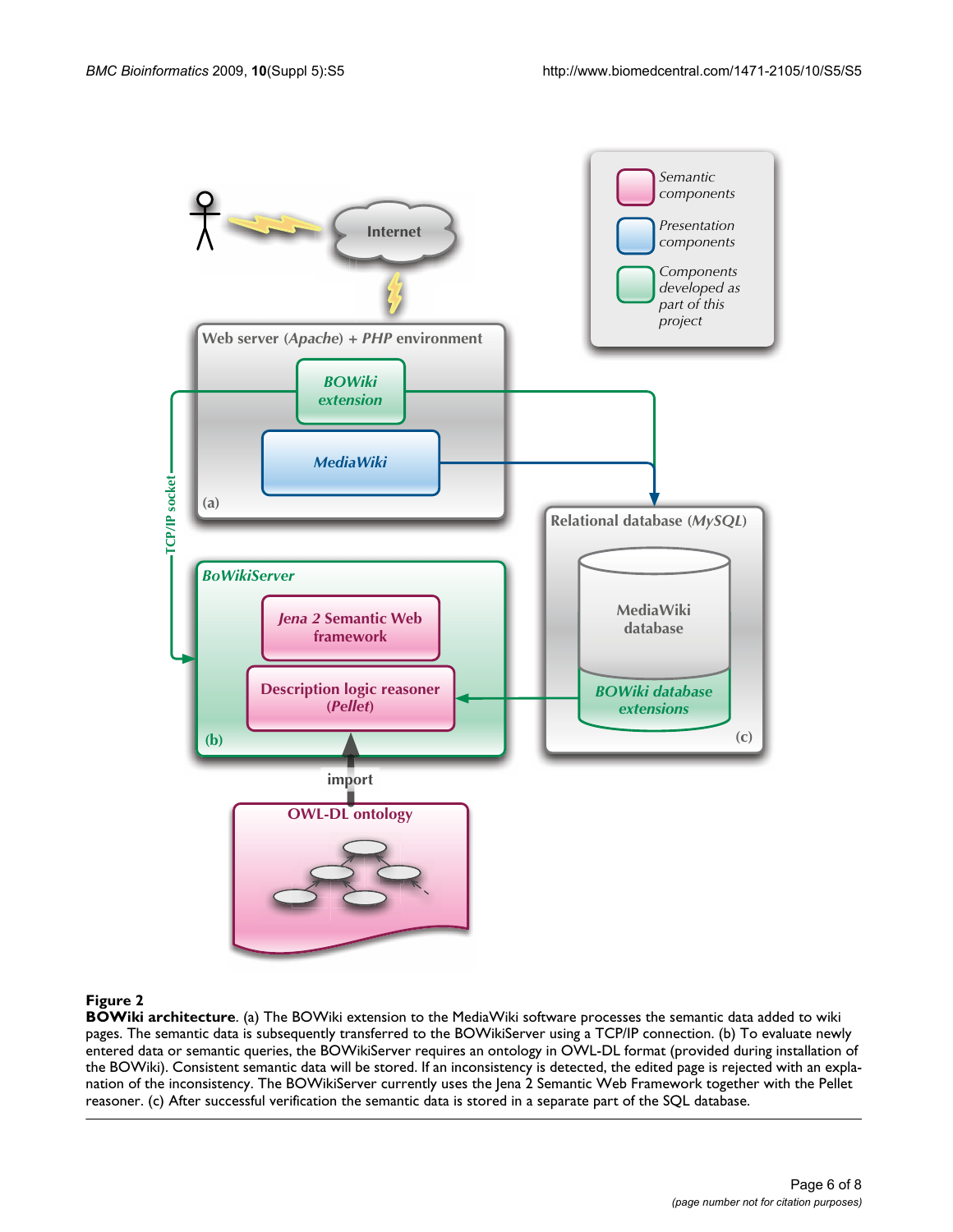

### **Figure 2**

**BOWiki architecture**. (a) The BOWiki extension to the MediaWiki software processes the semantic data added to wiki pages. The semantic data is subsequently transferred to the BOWikiServer using a TCP/IP connection. (b) To evaluate newly entered data or semantic queries, the BOWikiServer requires an ontology in OWL-DL format (provided during installation of the BOWiki). Consistent semantic data will be stored. If an inconsistency is detected, the edited page is rejected with an explanation of the inconsistency. The BOWikiServer currently uses the Jena 2 Semantic Web Framework together with the Pellet reasoner. (c) After successful verification the semantic data is stored in a separate part of the SQL database.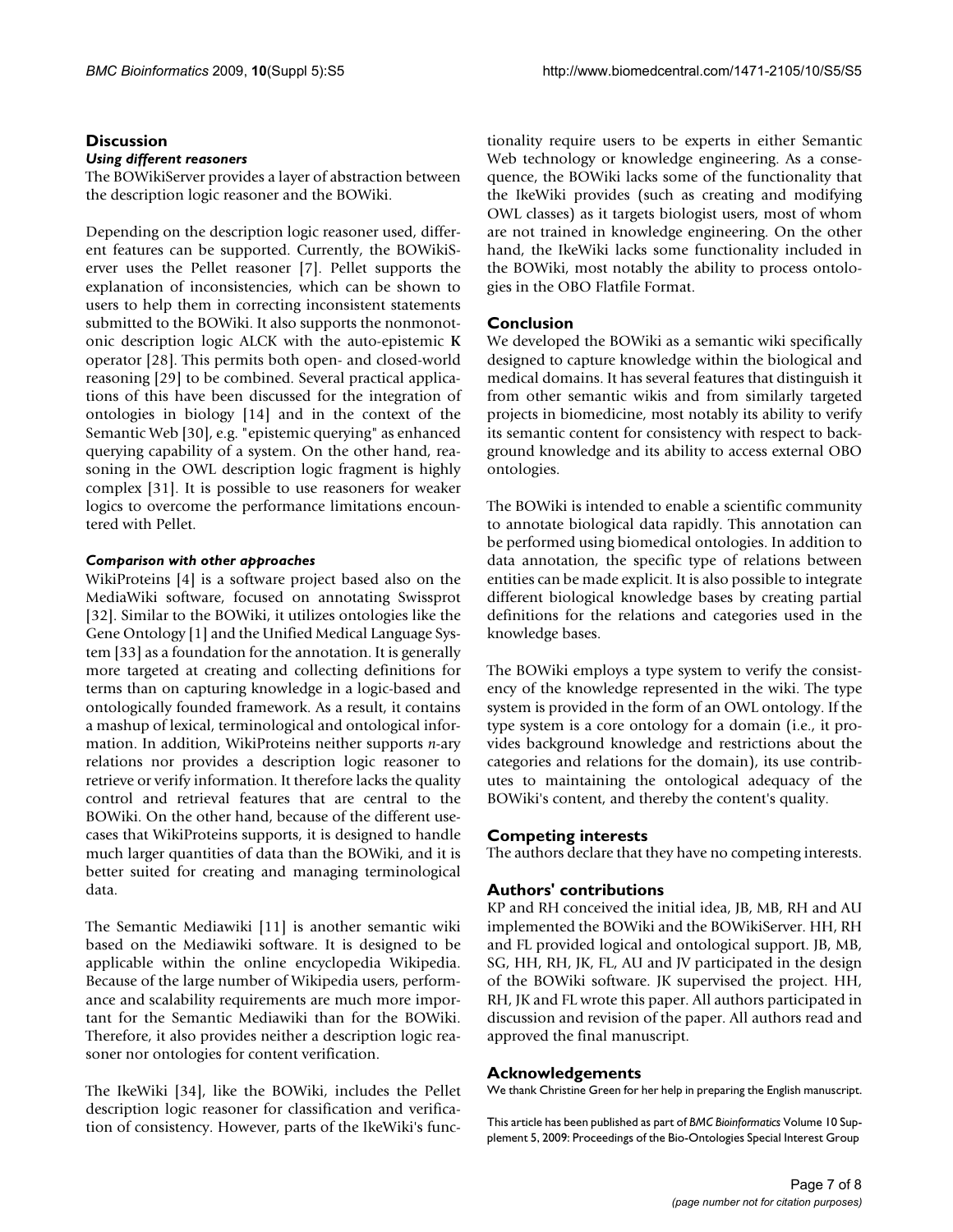### **Discussion**

#### *Using different reasoners*

The BOWikiServer provides a layer of abstraction between the description logic reasoner and the BOWiki.

Depending on the description logic reasoner used, different features can be supported. Currently, the BOWikiServer uses the Pellet reasoner [7]. Pellet supports the explanation of inconsistencies, which can be shown to users to help them in correcting inconsistent statements submitted to the BOWiki. It also supports the nonmonotonic description logic ALCK with the auto-epistemic **K** operator [28]. This permits both open- and closed-world reasoning [29] to be combined. Several practical applications of this have been discussed for the integration of ontologies in biology [14] and in the context of the Semantic Web [30], e.g. "epistemic querying" as enhanced querying capability of a system. On the other hand, reasoning in the OWL description logic fragment is highly complex [31]. It is possible to use reasoners for weaker logics to overcome the performance limitations encountered with Pellet.

#### *Comparison with other approaches*

WikiProteins [4] is a software project based also on the MediaWiki software, focused on annotating Swissprot [32]. Similar to the BOWiki, it utilizes ontologies like the Gene Ontology [1] and the Unified Medical Language System [33] as a foundation for the annotation. It is generally more targeted at creating and collecting definitions for terms than on capturing knowledge in a logic-based and ontologically founded framework. As a result, it contains a mashup of lexical, terminological and ontological information. In addition, WikiProteins neither supports *n*-ary relations nor provides a description logic reasoner to retrieve or verify information. It therefore lacks the quality control and retrieval features that are central to the BOWiki. On the other hand, because of the different usecases that WikiProteins supports, it is designed to handle much larger quantities of data than the BOWiki, and it is better suited for creating and managing terminological data.

The Semantic Mediawiki [11] is another semantic wiki based on the Mediawiki software. It is designed to be applicable within the online encyclopedia Wikipedia. Because of the large number of Wikipedia users, performance and scalability requirements are much more important for the Semantic Mediawiki than for the BOWiki. Therefore, it also provides neither a description logic reasoner nor ontologies for content verification.

The IkeWiki [34], like the BOWiki, includes the Pellet description logic reasoner for classification and verification of consistency. However, parts of the IkeWiki's functionality require users to be experts in either Semantic Web technology or knowledge engineering. As a consequence, the BOWiki lacks some of the functionality that the IkeWiki provides (such as creating and modifying OWL classes) as it targets biologist users, most of whom are not trained in knowledge engineering. On the other hand, the IkeWiki lacks some functionality included in the BOWiki, most notably the ability to process ontologies in the OBO Flatfile Format.

### **Conclusion**

We developed the BOWiki as a semantic wiki specifically designed to capture knowledge within the biological and medical domains. It has several features that distinguish it from other semantic wikis and from similarly targeted projects in biomedicine, most notably its ability to verify its semantic content for consistency with respect to background knowledge and its ability to access external OBO ontologies.

The BOWiki is intended to enable a scientific community to annotate biological data rapidly. This annotation can be performed using biomedical ontologies. In addition to data annotation, the specific type of relations between entities can be made explicit. It is also possible to integrate different biological knowledge bases by creating partial definitions for the relations and categories used in the knowledge bases.

The BOWiki employs a type system to verify the consistency of the knowledge represented in the wiki. The type system is provided in the form of an OWL ontology. If the type system is a core ontology for a domain (i.e., it provides background knowledge and restrictions about the categories and relations for the domain), its use contributes to maintaining the ontological adequacy of the BOWiki's content, and thereby the content's quality.

### **Competing interests**

The authors declare that they have no competing interests.

### **Authors' contributions**

KP and RH conceived the initial idea, JB, MB, RH and AU implemented the BOWiki and the BOWikiServer. HH, RH and FL provided logical and ontological support. JB, MB, SG, HH, RH, JK, FL, AU and JV participated in the design of the BOWiki software. JK supervised the project. HH, RH, JK and FL wrote this paper. All authors participated in discussion and revision of the paper. All authors read and approved the final manuscript.

### **Acknowledgements**

We thank Christine Green for her help in preparing the English manuscript.

This article has been published as part of *BMC Bioinformatics* Volume 10 Supplement 5, 2009: Proceedings of the Bio-Ontologies Special Interest Group